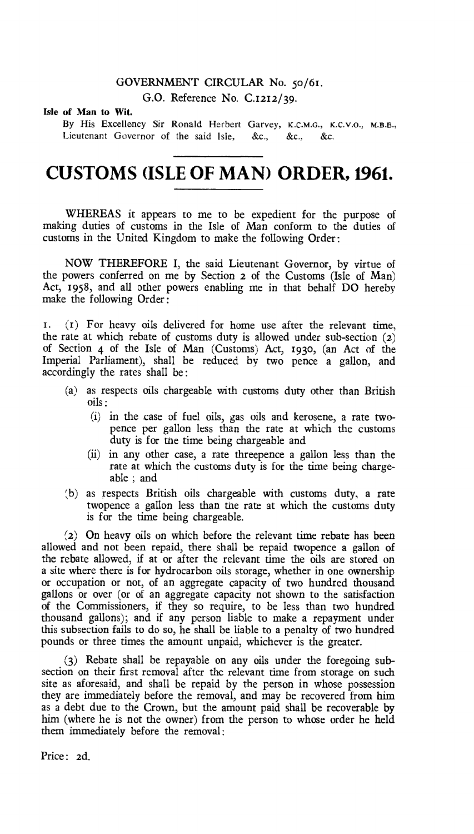### GOVERNMENT CIRCULAR No. 5o/61.

G.O. Reference No. C.1212/39.

### Isle of Man to Wit.

By His Excellency Sir Ronald Herbert Garvey, K.C.M.G., K.C.V.O., M.B.E., Lieutenant Governor of the said Isle, &c., &c., &c.

# **CUSTOMS (ISLE OF MAN) ORDER, 1961.**

WHEREAS it appears to me to be expedient for the purpose of making duties of customs in the Isle of Man conform to the duties of customs in the United Kingdom to make the following Order :

NOW THEREFORE I, the said Lieutenant Governor, by virtue of the powers conferred on me by Section **2** of the Customs (Isle of Man) Act, 1958, and all other powers enabling me in that behalf DO hereby make the following Order :

 $\mathbf{r}$ . ( $\mathbf{r}$ ) For heavy oils delivered for home use after the relevant time, the rate at which rebate of customs duty is allowed under sub-section (2) of Section 4 of the Isle of Man (Customs) Act, 193o, (an Act of the Imperial Parliament), shall be reduced by two pence a gallon, and accordingly the rates shall be:

- (a) as respects oils chargeable with customs duty other than British oils :
	- (i) in the case of fuel oils, gas oils and kerosene, a rate twopence per gallon less than the rate at which the customs duty is for the time being chargeable and
	- (ii) in any other case, a rate threepence a gallon less than the rate at which the customs duty is for the time being chargeable ; and
- (b) as respects British oils chargeable with customs duty, a rate twopence a gallon less than the rate at which the customs duty is for the time being chargeable.

(2) On heavy oils on which before the relevant time rebate has been allowed and not been repaid, there shall be repaid twopence a gallon of the rebate allowed, if at or after the relevant time the oils are stored on a site where there is for hydrocarbon oils storage, whether in one ownership or occupation or not, of an aggregate capacity of two hundred thousand gallons or over (or of an aggregate capacity not shown to the satisfaction of the Commissioners, if they so require, to be less than two hundred thousand gallons); and if any person liable to make a repayment under this subsection fails to do so, he shall be liable to a penalty of two hundred pounds or three times the amount unpaid, whichever is the greater.

(3) Rebate shall be repayable on any oils under the foregoing subsection on their first removal after the relevant time from storage on such site as aforesaid, and shall be repaid by the person in whose possession they are immediately before the removal, and may be recovered from him as a debt due to the Crown, but the amount paid shall be recoverable by him (where he is not the owner) from the person to whose order he held them immediately before the removal:

Price: 2d.